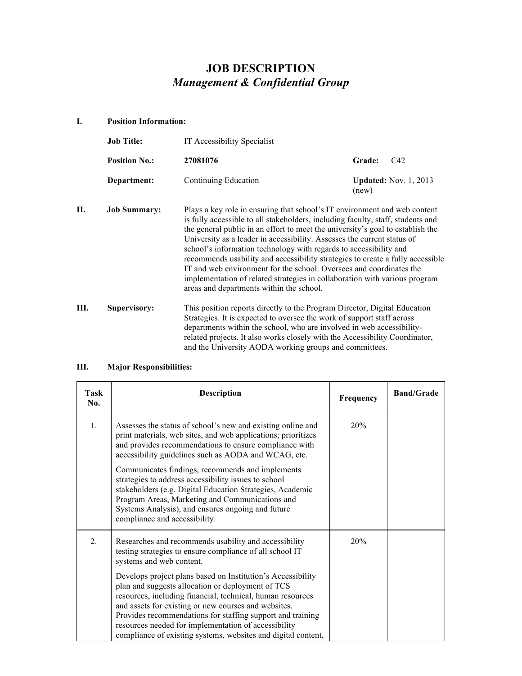## *Management & Confidential Group*  **JOB DESCRIPTION**

#### **I. Position Information:**

|    | <b>Job Title:</b>    | IT Accessibility Specialist                                                                                                                                                                                                                                                                                                                                                                                                                                                                                                                                                                                                                                                       |                                       |
|----|----------------------|-----------------------------------------------------------------------------------------------------------------------------------------------------------------------------------------------------------------------------------------------------------------------------------------------------------------------------------------------------------------------------------------------------------------------------------------------------------------------------------------------------------------------------------------------------------------------------------------------------------------------------------------------------------------------------------|---------------------------------------|
|    | <b>Position No.:</b> | 27081076                                                                                                                                                                                                                                                                                                                                                                                                                                                                                                                                                                                                                                                                          | Grade:<br>C42                         |
|    | Department:          | Continuing Education                                                                                                                                                                                                                                                                                                                                                                                                                                                                                                                                                                                                                                                              | <b>Updated:</b> Nov. 1, 2013<br>(new) |
| П. | <b>Job Summary:</b>  | Plays a key role in ensuring that school's IT environment and web content<br>is fully accessible to all stakeholders, including faculty, staff, students and<br>the general public in an effort to meet the university's goal to establish the<br>University as a leader in accessibility. Assesses the current status of<br>school's information technology with regards to accessibility and<br>recommends usability and accessibility strategies to create a fully accessible<br>IT and web environment for the school. Oversees and coordinates the<br>implementation of related strategies in collaboration with various program<br>areas and departments within the school. |                                       |
| Ш. | <b>Supervisory:</b>  | This position reports directly to the Program Director, Digital Education<br>Strategies. It is expected to oversee the work of support staff across<br>departments within the school, who are involved in web accessibility-<br>related projects. It also works closely with the Accessibility Coordinator,<br>and the University AODA working groups and committees.                                                                                                                                                                                                                                                                                                             |                                       |

# **III. Major Responsibilities:**

| Task<br>No.    | <b>Description</b>                                                                                                                                                                                                                                                                                                                                                                                                            | Frequency | <b>Band/Grade</b> |
|----------------|-------------------------------------------------------------------------------------------------------------------------------------------------------------------------------------------------------------------------------------------------------------------------------------------------------------------------------------------------------------------------------------------------------------------------------|-----------|-------------------|
| $\mathbf{1}$ . | Assesses the status of school's new and existing online and<br>print materials, web sites, and web applications; prioritizes<br>and provides recommendations to ensure compliance with<br>accessibility guidelines such as AODA and WCAG, etc.                                                                                                                                                                                | 20%       |                   |
|                | Communicates findings, recommends and implements<br>strategies to address accessibility issues to school<br>stakeholders (e.g. Digital Education Strategies, Academic<br>Program Areas, Marketing and Communications and<br>Systems Analysis), and ensures ongoing and future<br>compliance and accessibility.                                                                                                                |           |                   |
| 2.             | Researches and recommends usability and accessibility<br>testing strategies to ensure compliance of all school IT<br>systems and web content.                                                                                                                                                                                                                                                                                 | 20%       |                   |
|                | Develops project plans based on Institution's Accessibility<br>plan and suggests allocation or deployment of TCS<br>resources, including financial, technical, human resources<br>and assets for existing or new courses and websites.<br>Provides recommendations for staffing support and training<br>resources needed for implementation of accessibility<br>compliance of existing systems, websites and digital content, |           |                   |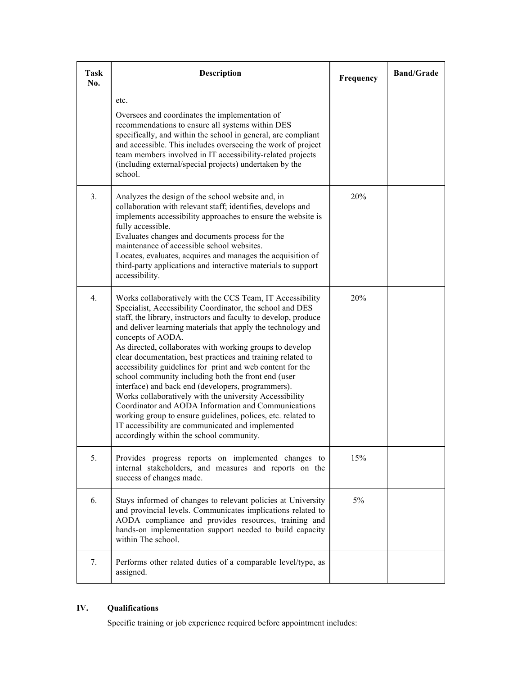| Task<br>No. | <b>Description</b>                                                                                                                                                                                                                                                                                                                                                                                                                                                                                                                                                                                                                                                                                                                                                                                                                                                      | Frequency | <b>Band/Grade</b> |
|-------------|-------------------------------------------------------------------------------------------------------------------------------------------------------------------------------------------------------------------------------------------------------------------------------------------------------------------------------------------------------------------------------------------------------------------------------------------------------------------------------------------------------------------------------------------------------------------------------------------------------------------------------------------------------------------------------------------------------------------------------------------------------------------------------------------------------------------------------------------------------------------------|-----------|-------------------|
|             | etc.<br>Oversees and coordinates the implementation of<br>recommendations to ensure all systems within DES<br>specifically, and within the school in general, are compliant<br>and accessible. This includes overseeing the work of project<br>team members involved in IT accessibility-related projects<br>(including external/special projects) undertaken by the<br>school.                                                                                                                                                                                                                                                                                                                                                                                                                                                                                         |           |                   |
| 3.          | Analyzes the design of the school website and, in<br>collaboration with relevant staff; identifies, develops and<br>implements accessibility approaches to ensure the website is<br>fully accessible.<br>Evaluates changes and documents process for the<br>maintenance of accessible school websites.<br>Locates, evaluates, acquires and manages the acquisition of<br>third-party applications and interactive materials to support<br>accessibility.                                                                                                                                                                                                                                                                                                                                                                                                                | 20%       |                   |
| 4.          | Works collaboratively with the CCS Team, IT Accessibility<br>Specialist, Accessibility Coordinator, the school and DES<br>staff, the library, instructors and faculty to develop, produce<br>and deliver learning materials that apply the technology and<br>concepts of AODA.<br>As directed, collaborates with working groups to develop<br>clear documentation, best practices and training related to<br>accessibility guidelines for print and web content for the<br>school community including both the front end (user<br>interface) and back end (developers, programmers).<br>Works collaboratively with the university Accessibility<br>Coordinator and AODA Information and Communications<br>working group to ensure guidelines, polices, etc. related to<br>IT accessibility are communicated and implemented<br>accordingly within the school community. | 20%       |                   |
| 5.          | Provides progress reports on implemented changes to<br>internal stakeholders, and measures and reports on the<br>success of changes made.                                                                                                                                                                                                                                                                                                                                                                                                                                                                                                                                                                                                                                                                                                                               | 15%       |                   |
| 6.          | Stays informed of changes to relevant policies at University<br>and provincial levels. Communicates implications related to<br>AODA compliance and provides resources, training and<br>hands-on implementation support needed to build capacity<br>within The school.                                                                                                                                                                                                                                                                                                                                                                                                                                                                                                                                                                                                   | 5%        |                   |
| 7.          | Performs other related duties of a comparable level/type, as<br>assigned.                                                                                                                                                                                                                                                                                                                                                                                                                                                                                                                                                                                                                                                                                                                                                                                               |           |                   |

### **IV. Qualifications**

Specific training or job experience required before appointment includes: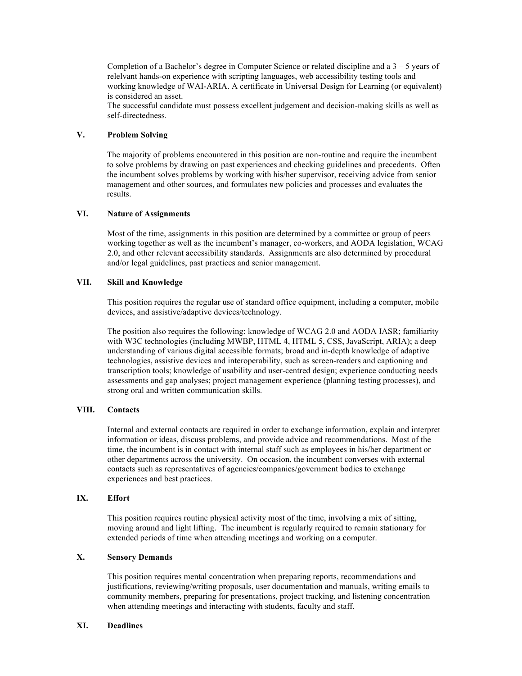Completion of a Bachelor's degree in Computer Science or related discipline and a  $3 - 5$  years of relelvant hands-on experience with scripting languages, web accessibility testing tools and working knowledge of WAI-ARIA. A certificate in Universal Design for Learning (or equivalent) is considered an asset.

 The successful candidate must possess excellent judgement and decision-making skills as well as self-directedness.

#### **V. Problem Solving**

 The majority of problems encountered in this position are non-routine and require the incumbent to solve problems by drawing on past experiences and checking guidelines and precedents. Often management and other sources, and formulates new policies and processes and evaluates the the incumbent solves problems by working with his/her supervisor, receiving advice from senior results.

#### **VI. Nature of Assignments**

 Most of the time, assignments in this position are determined by a committee or group of peers working together as well as the incumbent's manager, co-workers, and AODA legislation, WCAG 2.0, and other relevant accessibility standards. Assignments are also determined by procedural and/or legal guidelines, past practices and senior management.

#### **VII. Skill and Knowledge**

 This position requires the regular use of standard office equipment, including a computer, mobile devices, and assistive/adaptive devices/technology.

 The position also requires the following: knowledge of WCAG 2.0 and AODA IASR; familiarity with W3C technologies (including MWBP, HTML 4, HTML 5, CSS, JavaScript, ARIA); a deep understanding of various digital accessible formats; broad and in-depth knowledge of adaptive technologies, assistive devices and interoperability, such as screen-readers and captioning and transcription tools; knowledge of usability and user-centred design; experience conducting needs assessments and gap analyses; project management experience (planning testing processes), and strong oral and written communication skills.

#### **VIII. Contacts**

 Internal and external contacts are required in order to exchange information, explain and interpret information or ideas, discuss problems, and provide advice and recommendations. Most of the other departments across the university. On occasion, the incumbent converses with external contacts such as representatives of agencies/companies/government bodies to exchange experiences and best practices. time, the incumbent is in contact with internal staff such as employees in his/her department or

#### **IX. Effort**

 This position requires routine physical activity most of the time, involving a mix of sitting, moving around and light lifting. The incumbent is regularly required to remain stationary for extended periods of time when attending meetings and working on a computer.

#### **X. Sensory Demands**

 This position requires mental concentration when preparing reports, recommendations and justifications, reviewing/writing proposals, user documentation and manuals, writing emails to community members, preparing for presentations, project tracking, and listening concentration when attending meetings and interacting with students, faculty and staff.

#### **XI. Deadlines**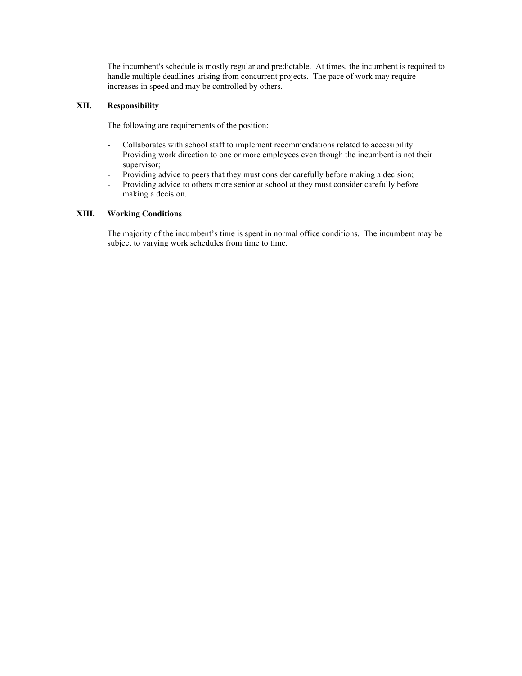The incumbent's schedule is mostly regular and predictable. At times, the incumbent is required to handle multiple deadlines arising from concurrent projects. The pace of work may require increases in speed and may be controlled by others.

#### **XII. Responsibility**

The following are requirements of the position:

- - Collaborates with school staff to implement recommendations related to accessibility Providing work direction to one or more employees even though the incumbent is not their supervisor;
- Providing advice to peers that they must consider carefully before making a decision;
- - Providing advice to others more senior at school at they must consider carefully before making a decision.

#### **XIII. Working Conditions**

 The majority of the incumbent's time is spent in normal office conditions. The incumbent may be subject to varying work schedules from time to time.